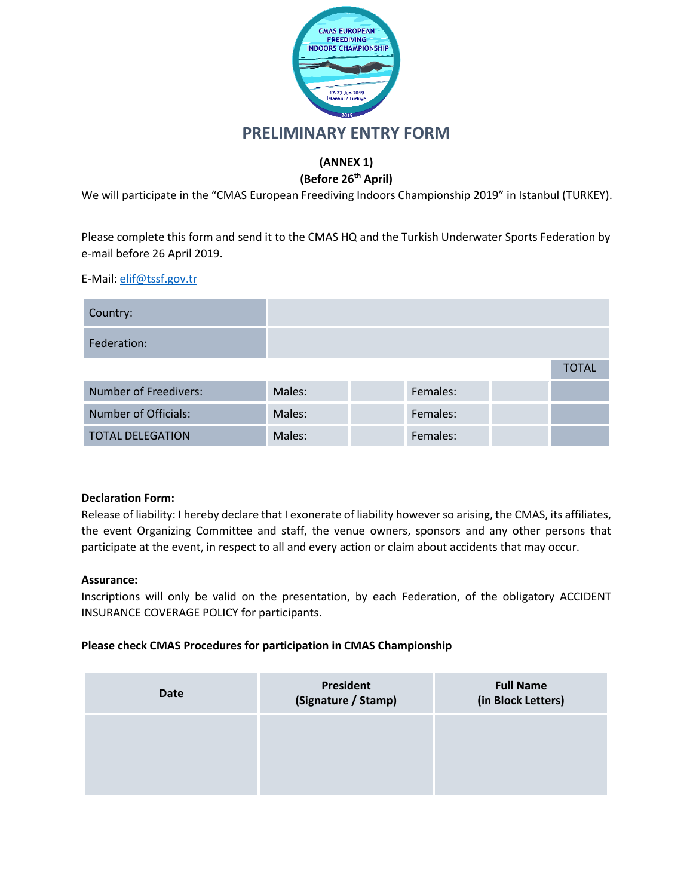

## **PRELIMINARY ENTRY FORM**

### **(ANNEX 1)**

### **(Before 26th April)**

We will participate in the "CMAS European Freediving Indoors Championship 2019" in Istanbul (TURKEY).

Please complete this form and send it to the CMAS HQ and the Turkish Underwater Sports Federation by e-mail before 26 April 2019.

E-Mail: [elif@tssf.gov.tr](mailto:elifkantar@tssf.gov.tr)

| Country:                     |        |          |              |
|------------------------------|--------|----------|--------------|
| Federation:                  |        |          |              |
|                              |        |          | <b>TOTAL</b> |
| <b>Number of Freedivers:</b> | Males: | Females: |              |
| <b>Number of Officials:</b>  | Males: | Females: |              |
| <b>TOTAL DELEGATION</b>      | Males: | Females: |              |

#### **Declaration Form:**

Release of liability: I hereby declare that I exonerate of liability however so arising, the CMAS, its affiliates, the event Organizing Committee and staff, the venue owners, sponsors and any other persons that participate at the event, in respect to all and every action or claim about accidents that may occur.

#### **Assurance:**

Inscriptions will only be valid on the presentation, by each Federation, of the obligatory ACCIDENT INSURANCE COVERAGE POLICY for participants.

#### **Please check CMAS Procedures for participation in CMAS Championship**

| Date | President<br>(Signature / Stamp) | <b>Full Name</b><br>(in Block Letters) |
|------|----------------------------------|----------------------------------------|
|      |                                  |                                        |
|      |                                  |                                        |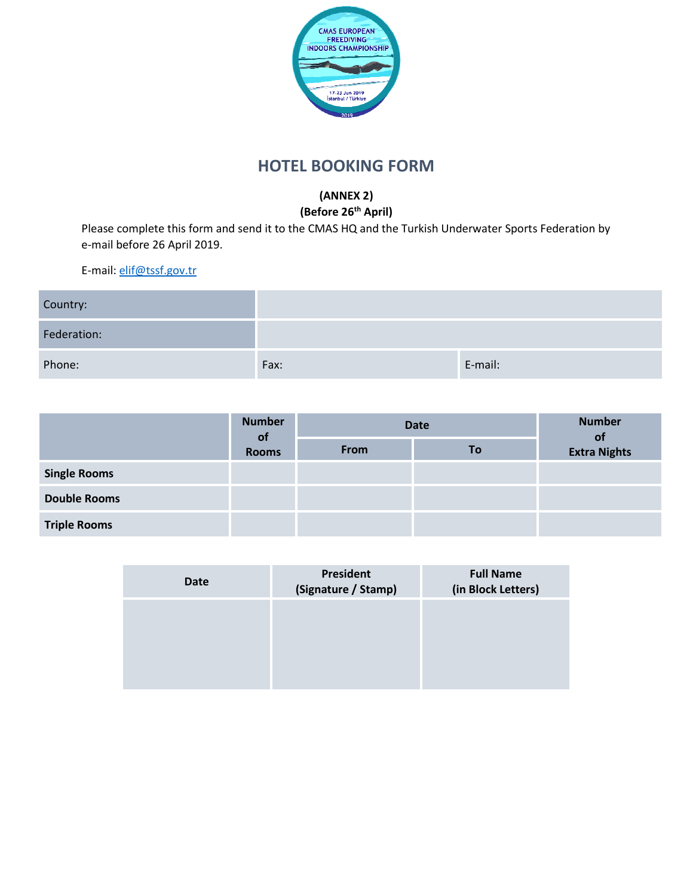

# **HOTEL BOOKING FORM**

# **(ANNEX 2)**

**(Before 26th April)**

Please complete this form and send it to the CMAS HQ and the Turkish Underwater Sports Federation by e-mail before 26 April 2019.

| Country:    |      |         |
|-------------|------|---------|
| Federation: |      |         |
| Phone:      | Fax: | E-mail: |

|                     | <b>Number</b><br><b>of</b> | <b>Date</b> |                     | <b>Number</b><br><b>of</b> |
|---------------------|----------------------------|-------------|---------------------|----------------------------|
| <b>Rooms</b>        | From                       | To          | <b>Extra Nights</b> |                            |
| <b>Single Rooms</b> |                            |             |                     |                            |
| <b>Double Rooms</b> |                            |             |                     |                            |
| <b>Triple Rooms</b> |                            |             |                     |                            |

| Date | President<br>(Signature / Stamp) | <b>Full Name</b><br>(in Block Letters) |
|------|----------------------------------|----------------------------------------|
|      |                                  |                                        |
|      |                                  |                                        |
|      |                                  |                                        |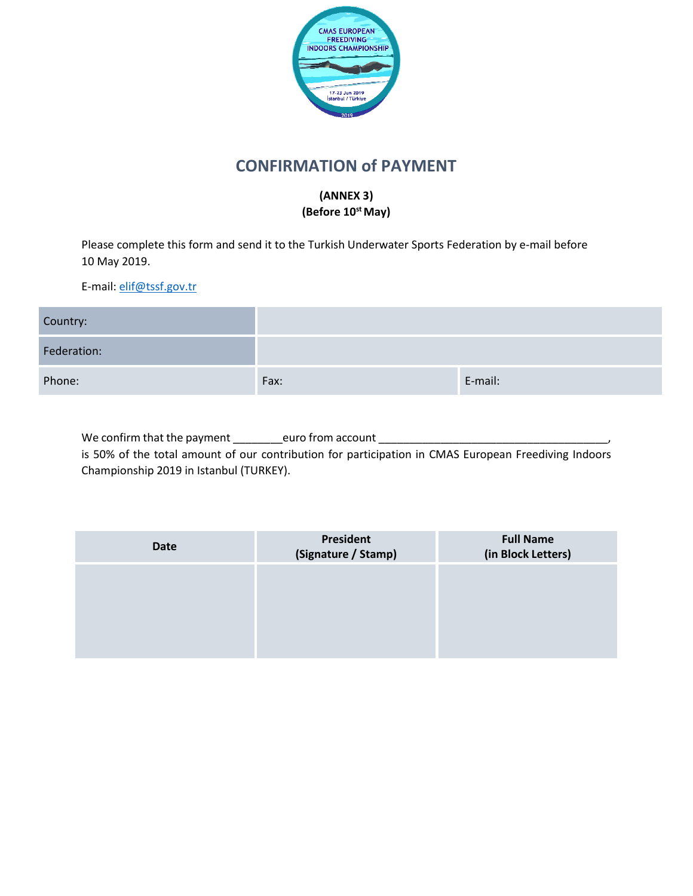

# **CONFIRMATION of PAYMENT**

### **(ANNEX 3) (Before 10 st May)**

Please complete this form and send it to the Turkish Underwater Sports Federation by e-mail before 10 May 2019.

E-mail: [elif@tssf.gov.tr](mailto:elifkantar@tssf.gov.tr)

| Country:    |      |         |
|-------------|------|---------|
| Federation: |      |         |
| Phone:      | Fax: | E-mail: |

We confirm that the payment \_\_\_\_\_\_\_\_euro from account \_\_\_\_\_\_\_\_\_\_\_\_\_\_\_\_\_\_\_\_\_\_\_\_\_\_ is 50% of the total amount of our contribution for participation in CMAS European Freediving Indoors Championship 2019 in Istanbul (TURKEY).

| Date | President<br>(Signature / Stamp) | <b>Full Name</b><br>(in Block Letters) |
|------|----------------------------------|----------------------------------------|
|      |                                  |                                        |
|      |                                  |                                        |
|      |                                  |                                        |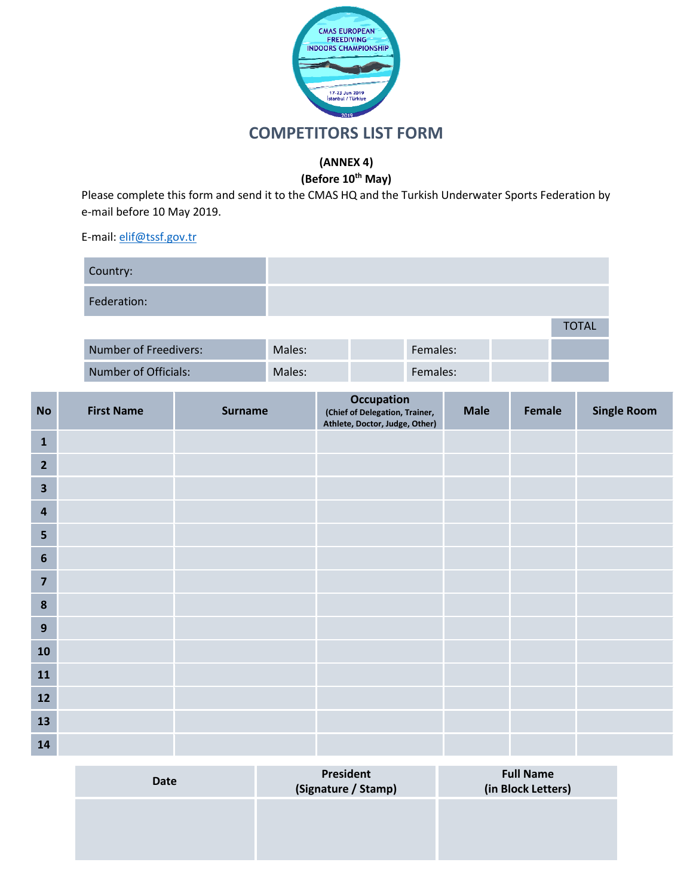

### **(ANNEX 4)**

**(Before 10th May)**

Please complete this form and send it to the CMAS HQ and the Turkish Underwater Sports Federation by e-mail before 10 May 2019.

| Country:             |                    |             |              |
|----------------------|--------------------|-------------|--------------|
| Federation:          |                    |             |              |
|                      |                    |             | <b>TOTAL</b> |
| Number of Freedivers | M <sub>2</sub> loc | $E$ amalac' |              |

| Number of Freedivers: | Males: | Females: |  |
|-----------------------|--------|----------|--|
| Number of Officials:  | Males: | Females: |  |

| <b>No</b>               | <b>First Name</b> | <b>Surname</b> | Occupation<br>(Chief of Delegation, Trainer,<br>Athlete, Doctor, Judge, Other) | <b>Male</b> | Female | <b>Single Room</b> |
|-------------------------|-------------------|----------------|--------------------------------------------------------------------------------|-------------|--------|--------------------|
| $\mathbf{1}$            |                   |                |                                                                                |             |        |                    |
| $\overline{2}$          |                   |                |                                                                                |             |        |                    |
| $\overline{\mathbf{3}}$ |                   |                |                                                                                |             |        |                    |
| 4                       |                   |                |                                                                                |             |        |                    |
| 5                       |                   |                |                                                                                |             |        |                    |
| $6\phantom{1}$          |                   |                |                                                                                |             |        |                    |
| $\overline{\mathbf{z}}$ |                   |                |                                                                                |             |        |                    |
| $\boldsymbol{8}$        |                   |                |                                                                                |             |        |                    |
| $\mathbf{9}$            |                   |                |                                                                                |             |        |                    |
| ${\bf 10}$              |                   |                |                                                                                |             |        |                    |
| 11                      |                   |                |                                                                                |             |        |                    |
| 12                      |                   |                |                                                                                |             |        |                    |
| 13                      |                   |                |                                                                                |             |        |                    |
| 14                      |                   |                |                                                                                |             |        |                    |

| Date | President<br>(Signature / Stamp) | <b>Full Name</b><br>(in Block Letters) |
|------|----------------------------------|----------------------------------------|
|      |                                  |                                        |
|      |                                  |                                        |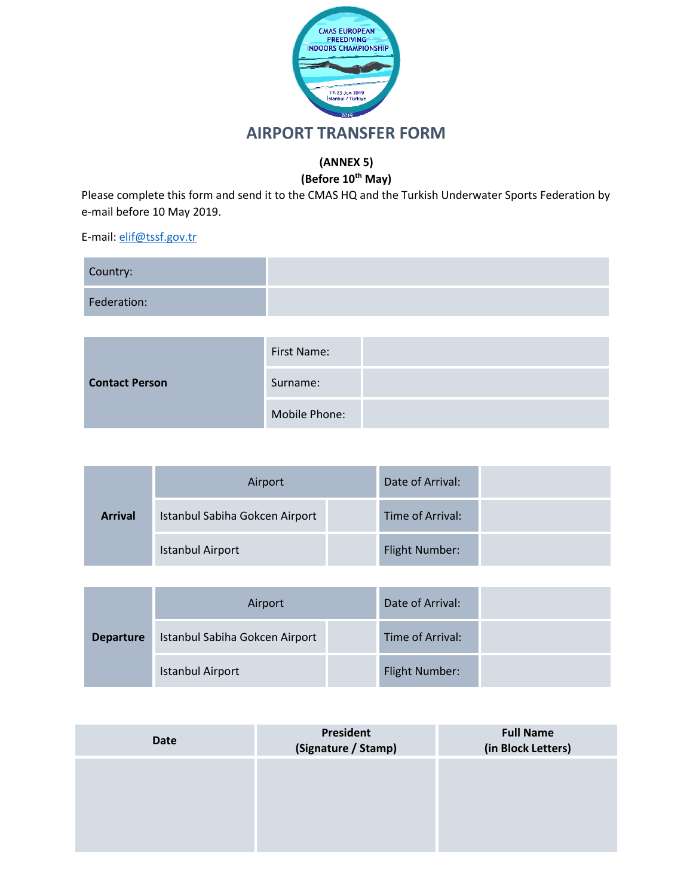

# **AIRPORT TRANSFER FORM**

## **(ANNEX 5)**

## **(Before 10th May)**

Please complete this form and send it to the CMAS HQ and the Turkish Underwater Sports Federation by e-mail before 10 May 2019.

| Country:    |  |
|-------------|--|
| Federation: |  |

| <b>Contact Person</b> | First Name:   |  |
|-----------------------|---------------|--|
|                       | Surname:      |  |
|                       | Mobile Phone: |  |

|                | Airport                        | Date of Arrival:      |  |
|----------------|--------------------------------|-----------------------|--|
| <b>Arrival</b> | Istanbul Sabiha Gokcen Airport | Time of Arrival:      |  |
|                | <b>Istanbul Airport</b>        | <b>Flight Number:</b> |  |

|                  | Airport                        | Date of Arrival:      |  |
|------------------|--------------------------------|-----------------------|--|
| <b>Departure</b> | Istanbul Sabiha Gokcen Airport | Time of Arrival:      |  |
|                  | <b>Istanbul Airport</b>        | <b>Flight Number:</b> |  |

| <b>Date</b> | President<br>(Signature / Stamp) | <b>Full Name</b><br>(in Block Letters) |
|-------------|----------------------------------|----------------------------------------|
|             |                                  |                                        |
|             |                                  |                                        |
|             |                                  |                                        |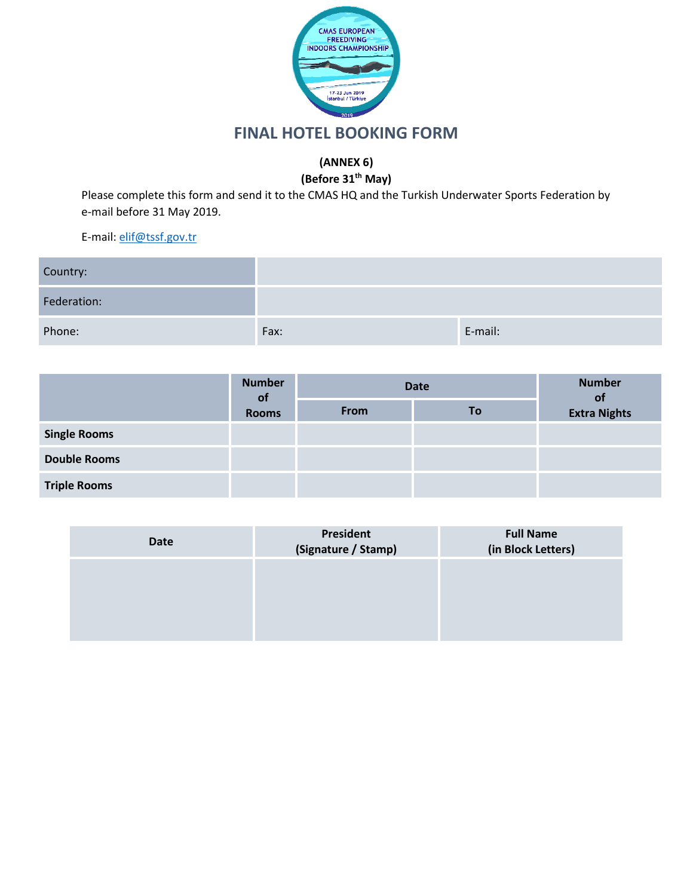

# **FINAL HOTEL BOOKING FORM**

# **(ANNEX 6)**

## **(Before 31th May)**

Please complete this form and send it to the CMAS HQ and the Turkish Underwater Sports Federation by e-mail before 31 May 2019.

| Country:    |      |         |
|-------------|------|---------|
| Federation: |      |         |
| Phone:      | Fax: | E-mail: |

|                     | <b>Number</b><br><b>of</b> |      | Date | <b>Number</b><br><b>ot</b> |
|---------------------|----------------------------|------|------|----------------------------|
|                     | <b>Rooms</b>               | From | To   | <b>Extra Nights</b>        |
| <b>Single Rooms</b> |                            |      |      |                            |
| <b>Double Rooms</b> |                            |      |      |                            |
| <b>Triple Rooms</b> |                            |      |      |                            |

| Date | President<br>(Signature / Stamp) | <b>Full Name</b><br>(in Block Letters) |
|------|----------------------------------|----------------------------------------|
|      |                                  |                                        |
|      |                                  |                                        |
|      |                                  |                                        |